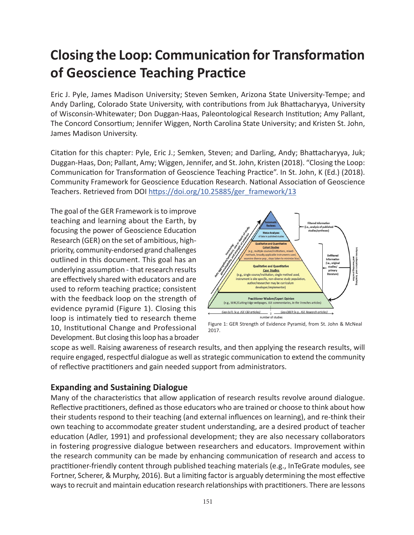# **Closing the Loop: Communication for Transformation of Geoscience Teaching Practice**

Eric J. Pyle, James Madison University; Steven Semken, Arizona State University-Tempe; and Andy Darling, Colorado State University, with contributions from Juk Bhattacharyya, University of Wisconsin-Whitewater; Don Duggan-Haas, Paleontological Research Institution; Amy Pallant, The Concord Consortium; Jennifer Wiggen, North Carolina State University; and Kristen St. John, James Madison University.

Citation for this chapter: Pyle, Eric J.; Semken, Steven; and Darling, Andy; Bhattacharyya, Juk; Duggan-Haas, Don; Pallant, Amy; Wiggen, Jennifer, and St. John, Kristen (2018). "Closing the Loop: Communication for Transformation of Geoscience Teaching Practice". In St. John, K (Ed.) (2018). Community Framework for Geoscience Education Research. National Association of Geoscience Teachers. Retrieved from DOI [https://doi.org/10.25885/ger\\_framework/13](http://commons.lib.jmu.edu/ger_framework/13/)

The goal of the GER Framework is to improve teaching and learning about the Earth, by focusing the power of Geoscience Education Research (GER) on the set of ambitious, highpriority, community-endorsed grand challenges outlined in this document. This goal has an underlying assumption - that research results are effectively shared with educators and are used to reform teaching practice; consistent with the feedback loop on the strength of evidence pyramid (Figure 1). Closing this loop is intimately tied to research theme 10, Institutional Change and Professional Development. But closing this loop has a broader



Figure 1: GER Strength of Evidence Pyramid, from St. John & McNeal 2017.

scope as well. Raising awareness of research results, and then applying the research results, will require engaged, respectful dialogue as well as strategic communication to extend the community of reflective practitioners and gain needed support from administrators.

#### **Expanding and Sustaining Dialogue**

Many of the characteristics that allow application of research results revolve around dialogue. Reflective practitioners, defined as those educators who are trained or choose to think about how their students respond to their teaching (and external influences on learning), and re-think their own teaching to accommodate greater student understanding, are a desired product of teacher education (Adler, 1991) and professional development; they are also necessary collaborators in fostering progressive dialogue between researchers and educators. Improvement within the research community can be made by enhancing communication of research and access to practitioner-friendly content through published teaching materials (e.g., InTeGrate modules, see Fortner, Scherer, & Murphy, 2016). But a limiting factor is arguably determining the most effective ways to recruit and maintain education research relationships with practitioners. There are lessons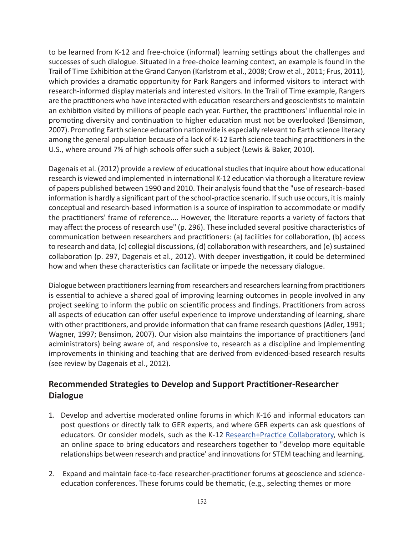to be learned from K-12 and free-choice (informal) learning settings about the challenges and successes of such dialogue. Situated in a free-choice learning context, an example is found in the Trail of Time Exhibition at the Grand Canyon (Karlstrom et al., 2008; Crow et al., 2011; Frus, 2011), which provides a dramatic opportunity for Park Rangers and informed visitors to interact with research-informed display materials and interested visitors. In the Trail of Time example, Rangers are the practitioners who have interacted with education researchers and geoscientists to maintain an exhibition visited by millions of people each year. Further, the practitioners' influential role in promoting diversity and continuation to higher education must not be overlooked (Bensimon, 2007). Promoting Earth science education nationwide is especially relevant to Earth science literacy among the general population because of a lack of K-12 Earth science teaching practitioners in the U.S., where around 7% of high schools offer such a subject (Lewis & Baker, 2010).

Dagenais et al. (2012) provide a review of educational studies that inquire about how educational research is viewed and implemented in international K-12 education via thorough a literature review of papers published between 1990 and 2010. Their analysis found that the "use of research-based information is hardly a significant part of the school-practice scenario. If such use occurs, it is mainly conceptual and research-based information is a source of inspiration to accommodate or modify the practitioners' frame of reference.... However, the literature reports a variety of factors that may affect the process of research use" (p. 296). These included several positive characteristics of communication between researchers and practitioners: (a) facilities for collaboration, (b) access to research and data, (c) collegial discussions, (d) collaboration with researchers, and (e) sustained collaboration (p. 297, Dagenais et al., 2012). With deeper investigation, it could be determined how and when these characteristics can facilitate or impede the necessary dialogue.

Dialogue between practitioners learning from researchers and researchers learning from practitioners is essential to achieve a shared goal of improving learning outcomes in people involved in any project seeking to inform the public on scientific process and findings. Practitioners from across all aspects of education can offer useful experience to improve understanding of learning, share with other practitioners, and provide information that can frame research questions (Adler, 1991; Wagner, 1997; Bensimon, 2007). Our vision also maintains the importance of practitioners (and administrators) being aware of, and responsive to, research as a discipline and implementing improvements in thinking and teaching that are derived from evidenced-based research results (see review by Dagenais et al., 2012).

#### **Recommended Strategies to Develop and Support Practitioner-Researcher Dialogue**

- 1. Develop and advertise moderated online forums in which K-16 and informal educators can post questions or directly talk to GER experts, and where GER experts can ask questions of educators. Or consider models, such as the K-12 [Research+Practice Collaboratory](http://researchandpractice.org/whyrp/), which is an online space to bring educators and researchers together to "develop more equitable relationships between research and practice' and innovations for STEM teaching and learning.
- 2. Expand and maintain face-to-face researcher-practitioner forums at geoscience and scienceeducation conferences. These forums could be thematic, (e.g., selecting themes or more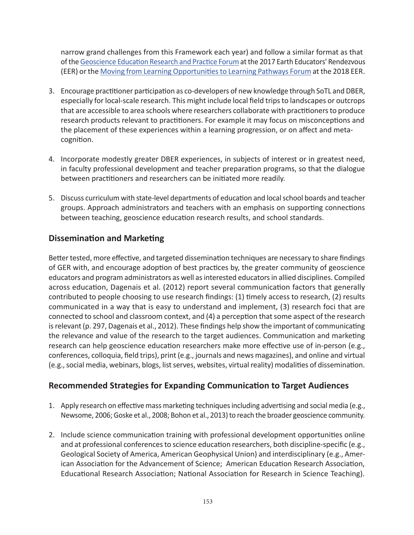narrow grand challenges from this Framework each year) and follow a similar format as that of the [Geoscience Education Research and Practice Forum](https://serc.carleton.edu/earth_rendezvous/2017/program/ger/index.html) at the 2017 Earth Educators' Rendezvous (EER) or the [Moving from Learning Opportunities to Learning Pathways Forum](https://serc.carleton.edu/earth_rendezvous/2017/program/ger/index.html) at the 2018 EER.

- 3. Encourage practitioner participation as co-developers of new knowledge through SoTL and DBER, especially for local-scale research. This might include local field trips to landscapes or outcrops that are accessible to area schools where researchers collaborate with practitioners to produce research products relevant to practitioners. For example it may focus on misconceptions and the placement of these experiences within a learning progression, or on affect and metacognition.
- 4. Incorporate modestly greater DBER experiences, in subjects of interest or in greatest need, in faculty professional development and teacher preparation programs, so that the dialogue between practitioners and researchers can be initiated more readily.
- 5. Discuss curriculum with state-level departments of education and local school boards and teacher groups. Approach administrators and teachers with an emphasis on supporting connections between teaching, geoscience education research results, and school standards.

#### **Dissemination and Marketing**

Better tested, more effective, and targeted dissemination techniques are necessary to share findings of GER with, and encourage adoption of best practices by, the greater community of geoscience educators and program administrators as well as interested educators in allied disciplines. Compiled across education, Dagenais et al. (2012) report several communication factors that generally contributed to people choosing to use research findings: (1) timely access to research, (2) results communicated in a way that is easy to understand and implement, (3) research foci that are connected to school and classroom context, and (4) a perception that some aspect of the research is relevant (p. 297, Dagenais et al., 2012). These findings help show the important of communicating the relevance and value of the research to the target audiences. Communication and marketing research can help geoscience education researchers make more effective use of in-person (e.g., conferences, colloquia, field trips), print (e.g., journals and news magazines), and online and virtual (e.g., social media, webinars, blogs, list serves, websites, virtual reality) modalities of dissemination.

#### **Recommended Strategies for Expanding Communication to Target Audiences**

- 1. Apply research on effective mass marketing techniques including advertising and social media (e.g., Newsome, 2006; Goske et al., 2008; Bohon et al., 2013) to reach the broader geoscience community.
- 2. Include science communication training with professional development opportunities online and at professional conferences to science education researchers, both discipline-specific (e.g., Geological Society of America, American Geophysical Union) and interdisciplinary (e.g., American Association for the Advancement of Science; American Education Research Association, Educational Research Association; National Association for Research in Science Teaching).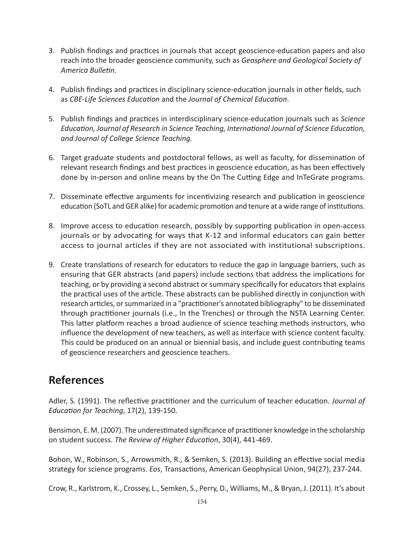- 3. Publish findings and practices in journals that accept geoscience-education papers and also reach into the broader geoscience community, such as *Geosphere and Geological Society of America Bulletin*.
- 4. Publish findings and practices in disciplinary science-education journals in other fields, such as *CBE-Life Sciences Education* and the *Journal of Chemical Education*.
- 5. Publish findings and practices in interdisciplinary science-education journals such as *Science Education, Journal of Research in Science Teaching, International Journal of Science Education, and Journal of College Science Teaching.*
- 6. Target graduate students and postdoctoral fellows, as well as faculty, for dissemination of relevant research findings and best practices in geoscience education, as has been effectively done by in-person and online means by the On The Cutting Edge and InTeGrate programs.
- 7. Disseminate effective arguments for incentivizing research and publication in geoscience education (SoTL and GER alike) for academic promotion and tenure at a wide range of institutions.
- 8. Improve access to education research, possibly by supporting publication in open-access journals or by advocating for ways that K-12 and informal educators can gain better access to journal articles if they are not associated with institutional subscriptions.
- 9. Create translations of research for educators to reduce the gap in language barriers, such as ensuring that GER abstracts (and papers) include sections that address the implications for teaching, or by providing a second abstract or summary specifically for educators that explains the practical uses of the article. These abstracts can be published directly in conjunction with research articles, or summarized in a "practitioner's annotated bibliography" to be disseminated through practitioner journals (i.e., In the Trenches) or through the NSTA Learning Center. This latter platform reaches a broad audience of science teaching methods instructors, who influence the development of new teachers, as well as interface with science content faculty. This could be produced on an annual or biennial basis, and include guest contributing teams of geoscience researchers and geoscience teachers.

### **References**

Adler, S. (1991). The reflective practitioner and the curriculum of teacher education. *Journal of Education for Teaching*, 17(2), 139-150.

Bensimon, E. M. (2007). The underestimated significance of practitioner knowledge in the scholarship on student success. *The Review of Higher Education*, 30(4), 441-469.

Bohon, W., Robinson, S., Arrowsmith, R., & Semken, S. (2013). Building an effective social media strategy for science programs. *Eos*, Transactions, American Geophysical Union, 94(27), 237-244.

Crow, R., Karlstrom, K., Crossey, L., Semken, S., Perry, D., Williams, M., & Bryan, J. (2011). It's about